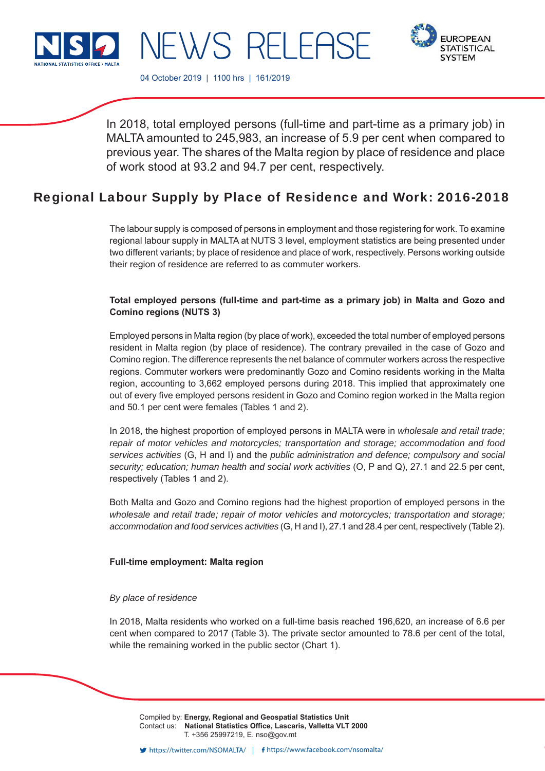



04 October 2019 | 1100 hrs | 161/2019

NEWS RELEASE

In 2018, total employed persons (full-time and part-time as a primary job) in MALTA amounted to 245,983, an increase of 5.9 per cent when compared to previous year. The shares of the Malta region by place of residence and place of work stood at 93.2 and 94.7 per cent, respectively.

# Regional Labour Supply by Place of Residence and Work: 2016-2018

The labour supply is composed of persons in employment and those registering for work. To examine regional labour supply in MALTA at NUTS 3 level, employment statistics are being presented under two different variants; by place of residence and place of work, respectively. Persons working outside their region of residence are referred to as commuter workers.

# **Total employed persons (full-time and part-time as a primary job) in Malta and Gozo and Comino regions (NUTS 3)**

Employed persons in Malta region (by place of work), exceeded the total number of employed persons resident in Malta region (by place of residence). The contrary prevailed in the case of Gozo and Comino region. The difference represents the net balance of commuter workers across the respective regions. Commuter workers were predominantly Gozo and Comino residents working in the Malta region, accounting to 3,662 employed persons during 2018. This implied that approximately one out of every five employed persons resident in Gozo and Comino region worked in the Malta region and 50.1 per cent were females (Tables 1 and 2).

In 2018, the highest proportion of employed persons in MALTA were in *wholesale and retail trade; repair of motor vehicles and motorcycles; transportation and storage; accommodation and food services activities* (G, H and I) and the *public administration and defence; compulsory and social security; education; human health and social work activities* (O, P and Q), 27.1 and 22.5 per cent, respectively (Tables 1 and 2).

Both Malta and Gozo and Comino regions had the highest proportion of employed persons in the *wholesale and retail trade; repair of motor vehicles and motorcycles; transportation and storage; accommodation and food services activities* (G, H and I), 27.1 and 28.4 per cent, respectively (Table 2).

# **Full-time employment: Malta region**

# *By place of residence*

In 2018, Malta residents who worked on a full-time basis reached 196,620, an increase of 6.6 per cent when compared to 2017 (Table 3). The private sector amounted to 78.6 per cent of the total, while the remaining worked in the public sector (Chart 1).

Compiled by: **Energy, Regional and Geospatial Statistics Unit** Contact us: National Statistics Office, Lascaris, Valletta VLT 2000 T. +356 25997219, E. nso@gov.mt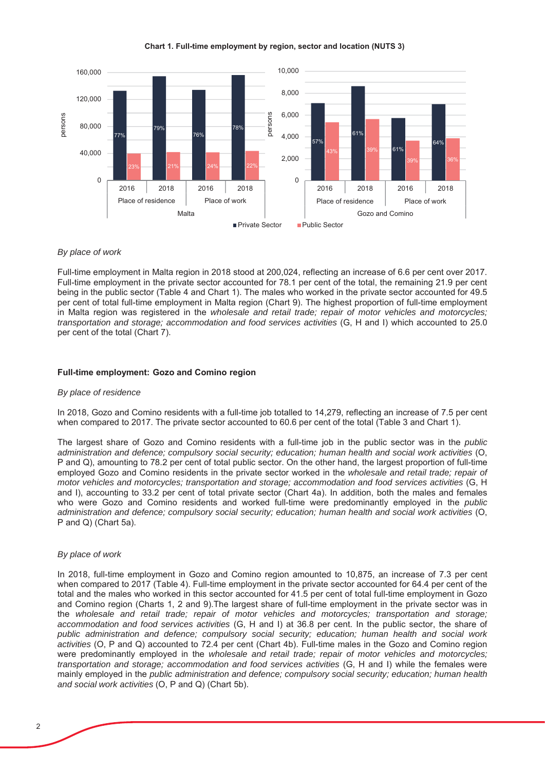Chart 1. Full-time employment by region, sector and location (NUTS 3)



## *By place of work*

Full-time employment in Malta region in 2018 stood at 200,024, reflecting an increase of 6.6 per cent over 2017. Full-time employment in the private sector accounted for 78.1 per cent of the total, the remaining 21.9 per cent being in the public sector (Table 4 and Chart 1). The males who worked in the private sector accounted for 49.5 per cent of total full-time employment in Malta region (Chart 9). The highest proportion of full-time employment in Malta region was registered in the wholesale and retail trade; repair of motor vehicles and motorcycles; *transportation and storage; accommodation and food services activities* (G, H and I) which accounted to 25.0 per cent of the total (Chart 7).

### **Full-time employment: Gozo and Comino region**

#### *By place of residence*

In 2018, Gozo and Comino residents with a full-time job totalled to 14,279, reflecting an increase of 7.5 per cent when compared to 2017. The private sector accounted to 60.6 per cent of the total (Table 3 and Chart 1).

The largest share of Gozo and Comino residents with a full-time job in the public sector was in the *public* administration and defence; compulsory social security; education; human health and social work activities (O. P and Q), amounting to 78.2 per cent of total public sector. On the other hand, the largest proportion of full-time employed Gozo and Comino residents in the private sector worked in the wholesale and retail trade; repair of *motor vehicles and motorcycles; transportation and storage; accommodation and food services activities* (G, H and I), accounting to 33.2 per cent of total private sector (Chart 4a). In addition, both the males and females who were Gozo and Comino residents and worked full-time were predominantly employed in the *public administration and defence; compulsory social security; education; human health and social work activities* 2  $P$  and Q) (Chart 5a).

#### *By place of work*

In 2018, full-time employment in Gozo and Comino region amounted to 10,875, an increase of 7.3 per cent when compared to 2017 (Table 4). Full-time employment in the private sector accounted for 64.4 per cent of the total and the males who worked in this sector accounted for 41.5 per cent of total full-time employment in Gozo and Comino region (Charts 1, 2 and 9). The largest share of full-time employment in the private sector was in the wholesale and retail trade; repair of motor vehicles and motorcycles; transportation and storage; *accommodation and food services activities* (G, H and I) at 36.8 per cent. In the public sector, the share of *public administration and defence; compulsory social security; education; human health and social work* activities (O, P and Q) accounted to 72.4 per cent (Chart 4b). Full-time males in the Gozo and Comino region were predominantly employed in the wholesale and retail trade; repair of motor vehicles and motorcycles; *transportation and storage; accommodation and food services activities* (G, H and I) while the females were mainly employed in the *public administration and defence; compulsory social security; education; human health* and social work activities (O, P and Q) (Chart 5b).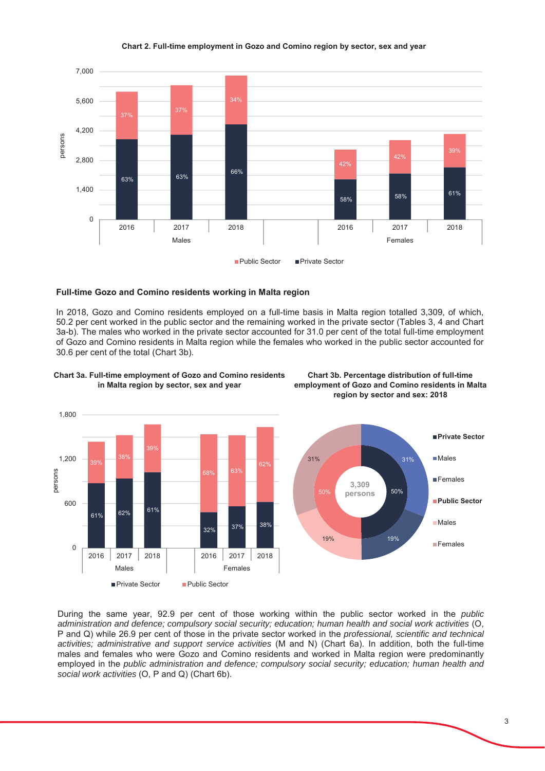#### Chart 2. Full-time employment in Gozo and Comino region by sector, sex and year



## **Full-time Gozo and Comino residents working in Malta region**

In 2018, Gozo and Comino residents employed on a full-time basis in Malta region totalled 3,309, of which, 50.2 per cent worked in the public sector and the remaining worked in the private sector (Tables 3, 4 and Chart 3a-b). The males who worked in the private sector accounted for 31.0 per cent of the total full-time employment of Gozo and Comino residents in Malta region while the females who worked in the public sector accounted for 30.6 per cent of the total (Chart 3b).



Chart 3a. Full-time employment of Gozo and Comino residents in Malta region by sector, sex and year



 $19\%$  19%

**Chart 3b. Percentage distribution of full-time** employment of Gozo and Comino residents in Malta region by sector and sex: 2018

**F**emales

During the same year, 92.9 per cent of those working within the public sector worked in the *public* administration and defence; compulsory social security; education; human health and social work activities (O, P and Q) while 26.9 per cent of those in the private sector worked in the *professional, scientific and technical* activities; administrative and support service activities (M and N) (Chart 6a). In addition, both the full-time males and females who were Gozo and Comino residents and worked in Malta region were predominantly employed in the *public administration and defence; compulsory social security; education; human health and social work activities* (O, P and Q) (Chart 6b).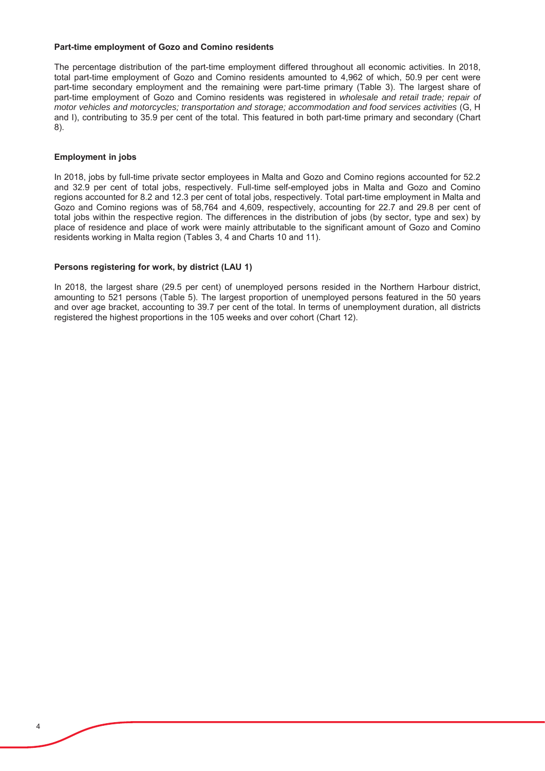## **Part-time employment of Gozo and Comino residents**

The percentage distribution of the part-time employment differed throughout all economic activities. In 2018, total part-time employment of Gozo and Comino residents amounted to 4.962 of which, 50.9 per cent were part-time secondary employment and the remaining were part-time primary (Table 3). The largest share of part-time employment of Gozo and Comino residents was registered in wholesale and retail trade; repair of *motor vehicles and motorcycles; transportation and storage; accommodation and food services activities* (G, H and I), contributing to 35.9 per cent of the total. This featured in both part-time primary and secondary (Chart  $8$ ).

# **Employment in jobs**

In 2018, jobs by full-time private sector employees in Malta and Gozo and Comino regions accounted for 52.2 and 32.9 per cent of total jobs, respectively. Full-time self-emploved jobs in Malta and Gozo and Comino regions accounted for 8.2 and 12.3 per cent of total jobs, respectively. Total part-time employment in Malta and Gozo and Comino regions was of 58,764 and 4,609, respectively, accounting for 22.7 and 29.8 per cent of total jobs within the respective region. The differences in the distribution of jobs (by sector, type and sex) by place of residence and place of work were mainly attributable to the significant amount of Gozo and Comino residents working in Malta region (Tables 3, 4 and Charts 10 and 11).

# Persons registering for work, by district (LAU 1)

In 2018, the largest share (29.5 per cent) of unemployed persons resided in the Northern Harbour district, amounting to 521 persons (Table 5). The largest proportion of unemployed persons featured in the 50 years and over age bracket, accounting to 39.7 per cent of the total. In terms of unemployment duration, all districts registered the highest proportions in the 105 weeks and over cohort (Chart 12).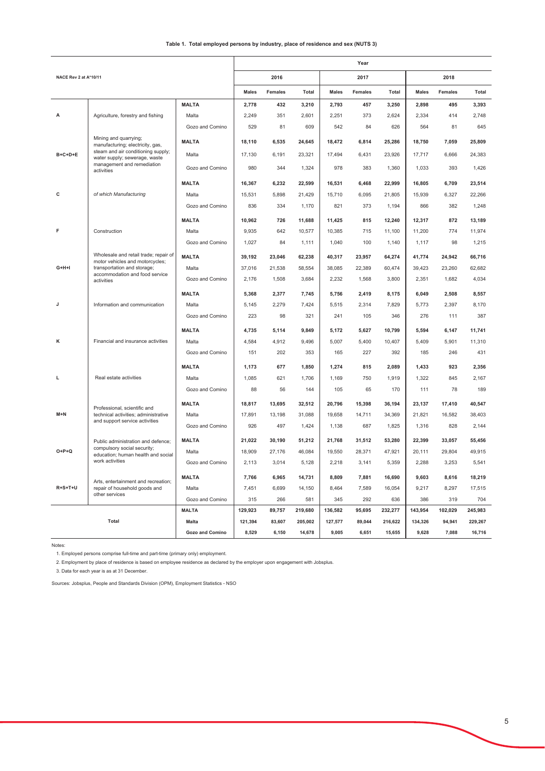| Table 1. Total employed persons by industry, place of residence and sex (NUTS 3) |  |
|----------------------------------------------------------------------------------|--|
|----------------------------------------------------------------------------------|--|

|                       |                                                                          |                        |              |         |         |              | Year           |         |              |                |              |
|-----------------------|--------------------------------------------------------------------------|------------------------|--------------|---------|---------|--------------|----------------|---------|--------------|----------------|--------------|
| NACE Rev 2 at A*10/11 |                                                                          |                        |              | 2016    |         |              | 2017           |         |              | 2018           |              |
|                       |                                                                          |                        | <b>Males</b> | Females | Total   | <b>Males</b> | <b>Females</b> | Total   | <b>Males</b> | <b>Females</b> | <b>Total</b> |
|                       |                                                                          | <b>MALTA</b>           | 2,778        | 432     | 3,210   | 2,793        | 457            | 3,250   | 2,898        | 495            | 3,393        |
| A                     | Agriculture, forestry and fishing                                        | Malta                  | 2,249        | 351     | 2,601   | 2,251        | 373            | 2,624   | 2,334        | 414            | 2,748        |
|                       |                                                                          | Gozo and Comino        | 529          | 81      | 609     | 542          | 84             | 626     | 564          | 81             | 645          |
|                       | Mining and quarrying;<br>manufacturing; electricity, gas,                | <b>MALTA</b>           | 18,110       | 6,535   | 24,645  | 18,472       | 6,814          | 25,286  | 18,750       | 7,059          | 25,809       |
| $B+C+D+E$             | steam and air conditioning supply;<br>water supply; sewerage, waste      | Malta                  | 17,130       | 6,191   | 23,321  | 17,494       | 6,431          | 23,926  | 17,717       | 6,666          | 24,383       |
|                       | management and remediation<br>activities                                 | Gozo and Comino        | 980          | 344     | 1,324   | 978          | 383            | 1,360   | 1,033        | 393            | 1,426        |
|                       |                                                                          | <b>MALTA</b>           | 16,367       | 6,232   | 22,599  | 16,531       | 6,468          | 22,999  | 16,805       | 6,709          | 23,514       |
| C                     | of which Manufacturing                                                   | Malta                  | 15,531       | 5,898   | 21,429  | 15,710       | 6,095          | 21,805  | 15,939       | 6,327          | 22,266       |
|                       |                                                                          | Gozo and Comino        | 836          | 334     | 1,170   | 821          | 373            | 1,194   | 866          | 382            | 1,248        |
|                       |                                                                          | <b>MALTA</b>           | 10,962       | 726     | 11,688  | 11,425       | 815            | 12,240  | 12,317       | 872            | 13,189       |
| F                     | Construction                                                             | Malta                  | 9,935        | 642     | 10,577  | 10,385       | 715            | 11,100  | 11,200       | 774            | 11,974       |
|                       |                                                                          | Gozo and Comino        | 1,027        | 84      | 1,111   | 1,040        | 100            | 1,140   | 1,117        | 98             | 1,215        |
|                       | Wholesale and retail trade; repair of<br>motor vehicles and motorcycles; | <b>MALTA</b>           | 39,192       | 23,046  | 62,238  | 40,317       | 23,957         | 64,274  | 41,774       | 24,942         | 66,716       |
| $G+H+I$               | transportation and storage;                                              | Malta                  | 37,016       | 21,538  | 58,554  | 38,085       | 22,389         | 60,474  | 39,423       | 23,260         | 62,682       |
|                       | accommodation and food service<br>activities                             | Gozo and Comino        | 2,176        | 1,508   | 3,684   | 2,232        | 1,568          | 3,800   | 2,351        | 1,682          | 4,034        |
|                       |                                                                          | <b>MALTA</b>           | 5,368        | 2,377   | 7,745   | 5,756        | 2,419          | 8,175   | 6,049        | 2,508          | 8,557        |
| J                     | Information and communication                                            | Malta                  | 5,145        | 2,279   | 7,424   | 5,515        | 2,314          | 7,829   | 5,773        | 2,397          | 8,170        |
|                       |                                                                          | Gozo and Comino        | 223          | 98      | 321     | 241          | 105            | 346     | 276          | 111            | 387          |
|                       |                                                                          | <b>MALTA</b>           | 4,735        | 5,114   | 9,849   | 5,172        | 5,627          | 10,799  | 5,594        | 6,147          | 11,741       |
| κ                     | Financial and insurance activities                                       | Malta                  | 4,584        | 4,912   | 9,496   | 5,007        | 5,400          | 10,407  | 5,409        | 5,901          | 11,310       |
|                       |                                                                          | Gozo and Comino        | 151          | 202     | 353     | 165          | 227            | 392     | 185          | 246            | 431          |
|                       |                                                                          | <b>MALTA</b>           | 1,173        | 677     | 1,850   | 1,274        | 815            | 2,089   | 1,433        | 923            | 2,356        |
| L                     | Real estate activities                                                   | Malta                  | 1,085        | 621     | 1,706   | 1,169        | 750            | 1,919   | 1,322        | 845            | 2,167        |
|                       |                                                                          | Gozo and Comino        | 88           | 56      | 144     | 105          | 65             | 170     | 111          | 78             | 189          |
|                       | Professional, scientific and                                             | <b>MALTA</b>           | 18,817       | 13,695  | 32,512  | 20,796       | 15,398         | 36,194  | 23,137       | 17,410         | 40,547       |
| $M+N$                 | technical activities; administrative                                     | Malta                  | 17,891       | 13,198  | 31,088  | 19,658       | 14,711         | 34,369  | 21,821       | 16,582         | 38,403       |
|                       | and support service activities                                           | Gozo and Comino        | 926          | 497     | 1,424   | 1,138        | 687            | 1,825   | 1,316        | 828            | 2,144        |
|                       | Public administration and defence;                                       | <b>MALTA</b>           | 21,022       | 30,190  | 51,212  | 21,768       | 31,512         | 53,280  | 22,399       | 33,057         | 55,456       |
| $O+P+Q$               | compulsory social security;<br>education; human health and social        | Malta                  | 18,909       | 27,176  | 46,084  | 19,550       | 28,371         | 47,921  | 20,111       | 29,804         | 49,915       |
|                       | work activities                                                          | Gozo and Comino        | 2,113        | 3,014   | 5,128   | 2,218        | 3,141          | 5,359   | 2,288        | 3,253          | 5,541        |
|                       | Arts, entertainment and recreation;                                      | <b>MALTA</b>           | 7,766        | 6,965   | 14,731  | 8,809        | 7,881          | 16,690  | 9,603        | 8,616          | 18,219       |
| R+S+T+U               | repair of household goods and                                            | Malta                  | 7,451        | 6,699   | 14,150  | 8,464        | 7,589          | 16,054  | 9,217        | 8,297          | 17,515       |
|                       | other services                                                           | Gozo and Comino        | 315          | 266     | 581     | 345          | 292            | 636     | 386          | 319            | 704          |
|                       |                                                                          | <b>MALTA</b>           | 129,923      | 89,757  | 219,680 | 136,582      | 95,695         | 232,277 | 143,954      | 102,029        | 245,983      |
|                       | Total                                                                    | Malta                  | 121,394      | 83,607  | 205,002 | 127,577      | 89,044         | 216,622 | 134,326      | 94,941         | 229,267      |
|                       |                                                                          | <b>Gozo and Comino</b> | 8.529        | 6.150   | 14.678  | 9.005        | 6.651          | 15.655  | 9.628        | 7.088          | 16.716       |

Notes:

1. Employed persons comprise full-time and part-time (primary only) employment.

2. Employment by place of residence is based on employee residence as declared by the employer upon engagement with Jobsplus.

3. Data for each year is as at 31 December.

Sources: Jobsplus, People and Standards Division (OPM), Employment Statistics - NSO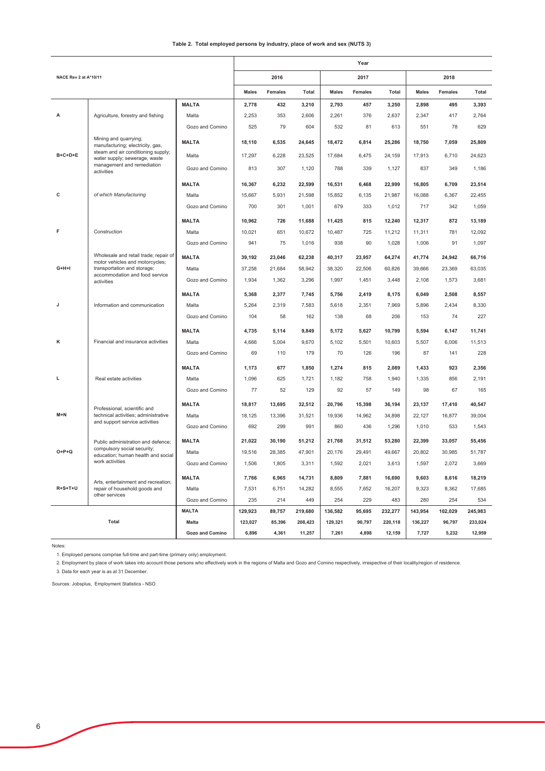#### Table 2. Total employed persons by industry, place of work and sex (NUTS 3)

|                       |                                                                          |                 |              |                |         |              | Year           |         |              |                |         |
|-----------------------|--------------------------------------------------------------------------|-----------------|--------------|----------------|---------|--------------|----------------|---------|--------------|----------------|---------|
| NACE Rev 2 at A*10/11 |                                                                          |                 |              | 2016           |         |              | 2017           |         |              | 2018           |         |
|                       |                                                                          |                 | <b>Males</b> | <b>Females</b> | Total   | <b>Males</b> | <b>Females</b> | Total   | <b>Males</b> | <b>Females</b> | Total   |
|                       |                                                                          | <b>MALTA</b>    | 2,778        | 432            | 3,210   | 2,793        | 457            | 3,250   | 2,898        | 495            | 3,393   |
| A                     | Agriculture, forestry and fishing                                        | Malta           | 2,253        | 353            | 2,606   | 2,261        | 376            | 2,637   | 2,347        | 417            | 2,764   |
|                       |                                                                          | Gozo and Comino | 525          | 79             | 604     | 532          | 81             | 613     | 551          | 78             | 629     |
|                       | Mining and quarrying;<br>manufacturing; electricity, gas,                | <b>MALTA</b>    | 18,110       | 6,535          | 24,645  | 18,472       | 6,814          | 25,286  | 18,750       | 7,059          | 25,809  |
| $B+C+D+E$             | steam and air conditioning supply;<br>water supply; sewerage, waste      | Malta           | 17,297       | 6,228          | 23,525  | 17,684       | 6,475          | 24,159  | 17,913       | 6,710          | 24,623  |
|                       | management and remediation<br>activities                                 | Gozo and Comino | 813          | 307            | 1,120   | 788          | 339            | 1,127   | 837          | 349            | 1,186   |
|                       |                                                                          | <b>MALTA</b>    | 16,367       | 6,232          | 22,599  | 16,531       | 6,468          | 22,999  | 16,805       | 6,709          | 23,514  |
| с                     | of which Manufacturing                                                   | Malta           | 15,667       | 5,931          | 21,598  | 15,852       | 6,135          | 21,987  | 16,088       | 6,367          | 22,455  |
|                       |                                                                          | Gozo and Comino | 700          | 301            | 1,001   | 679          | 333            | 1,012   | 717          | 342            | 1,059   |
|                       |                                                                          | <b>MALTA</b>    | 10,962       | 726            | 11,688  | 11,425       | 815            | 12,240  | 12,317       | 872            | 13,189  |
| F                     | Construction                                                             | Malta           | 10,021       | 651            | 10,672  | 10,487       | 725            | 11,212  | 11,311       | 781            | 12,092  |
|                       |                                                                          | Gozo and Comino | 941          | 75             | 1,016   | 938          | 90             | 1,028   | 1,006        | 91             | 1,097   |
|                       | Wholesale and retail trade; repair of<br>motor vehicles and motorcycles; | <b>MALTA</b>    | 39,192       | 23,046         | 62,238  | 40,317       | 23,957         | 64,274  | 41,774       | 24,942         | 66,716  |
| G+H+I                 | transportation and storage;                                              | Malta           | 37,258       | 21,684         | 58,942  | 38,320       | 22,506         | 60,826  | 39,666       | 23,369         | 63,035  |
|                       | accommodation and food service<br>activities                             | Gozo and Comino | 1,934        | 1,362          | 3,296   | 1,997        | 1,451          | 3,448   | 2,108        | 1,573          | 3,681   |
|                       |                                                                          | <b>MALTA</b>    | 5,368        | 2,377          | 7,745   | 5,756        | 2,419          | 8,175   | 6,049        | 2,508          | 8,557   |
| J                     | Information and communication                                            | Malta           | 5,264        | 2,319          | 7,583   | 5,618        | 2,351          | 7,969   | 5,896        | 2,434          | 8,330   |
|                       |                                                                          | Gozo and Comino | 104          | 58             | 162     | 138          | 68             | 206     | 153          | 74             | 227     |
|                       |                                                                          | <b>MALTA</b>    | 4,735        | 5,114          | 9,849   | 5,172        | 5,627          | 10,799  | 5,594        | 6,147          | 11,741  |
| к                     | Financial and insurance activities                                       | Malta           | 4,666        | 5,004          | 9,670   | 5,102        | 5,501          | 10,603  | 5,507        | 6,006          | 11,513  |
|                       |                                                                          | Gozo and Comino | 69           | 110            | 179     | 70           | 126            | 196     | 87           | 141            | 228     |
|                       |                                                                          | <b>MALTA</b>    | 1,173        | 677            | 1,850   | 1,274        | 815            | 2,089   | 1,433        | 923            | 2,356   |
| п                     | Real estate activities                                                   | Malta           | 1,096        | 625            | 1,721   | 1,182        | 758            | 1,940   | 1,335        | 856            | 2,191   |
|                       |                                                                          | Gozo and Comino | 77           | 52             | 129     | 92           | 57             | 149     | 98           | 67             | 165     |
|                       | Professional, scientific and                                             | <b>MALTA</b>    | 18,817       | 13,695         | 32,512  | 20,796       | 15,398         | 36,194  | 23,137       | 17,410         | 40,547  |
| $M + N$               | technical activities; administrative                                     | Malta           | 18,125       | 13,396         | 31,521  | 19,936       | 14,962         | 34,898  | 22,127       | 16,877         | 39,004  |
|                       | and support service activities                                           | Gozo and Comino | 692          | 299            | 991     | 860          | 436            | 1,296   | 1,010        | 533            | 1,543   |
|                       | Public administration and defence;                                       | <b>MALTA</b>    | 21,022       | 30,190         | 51,212  | 21,768       | 31,512         | 53,280  | 22,399       | 33,057         | 55,456  |
| $O+P+Q$               | compulsory social security;<br>education; human health and social        | Malta           | 19,516       | 28,385         | 47,901  | 20,176       | 29,491         | 49,667  | 20,802       | 30,985         | 51,787  |
|                       | work activities                                                          | Gozo and Comino | 1,506        | 1,805          | 3,311   | 1,592        | 2,021          | 3,613   | 1,597        | 2,072          | 3,669   |
|                       | Arts, entertainment and recreation;                                      | <b>MALTA</b>    | 7,766        | 6,965          | 14,731  | 8,809        | 7,881          | 16,690  | 9,603        | 8,616          | 18,219  |
| $R + S + T + U$       | repair of household goods and<br>other services                          | Malta           | 7,531        | 6,751          | 14,282  | 8,555        | 7,652          | 16,207  | 9,323        | 8,362          | 17,685  |
|                       |                                                                          | Gozo and Comino | 235          | 214            | 449     | 254          | 229            | 483     | 280          | 254            | 534     |
|                       |                                                                          | <b>MALTA</b>    | 129,923      | 89,757         | 219,680 | 136,582      | 95,695         | 232,277 | 143,954      | 102,029        | 245,983 |
|                       | Total                                                                    | Malta           | 123,027      | 85,396         | 208,423 | 129,321      | 90,797         | 220,118 | 136,227      | 96,797         | 233,024 |
|                       |                                                                          | Gozo and Comino | 6,896        | 4,361          | 11,257  | 7,261        | 4,898          | 12.159  | 7,727        | 5,232          | 12,959  |

Notes:

1. Employed persons comprise full-time and part-time (primary only) employment.

2. Employment by place of work takes into account those persons who effectively work in the regions of Malta and Gozo and Comino respectively, irrespective of their locality/region of residence.

3. Data for each year is as at 31 December.

Sources: Jobsplus, Employment Statistics - NSO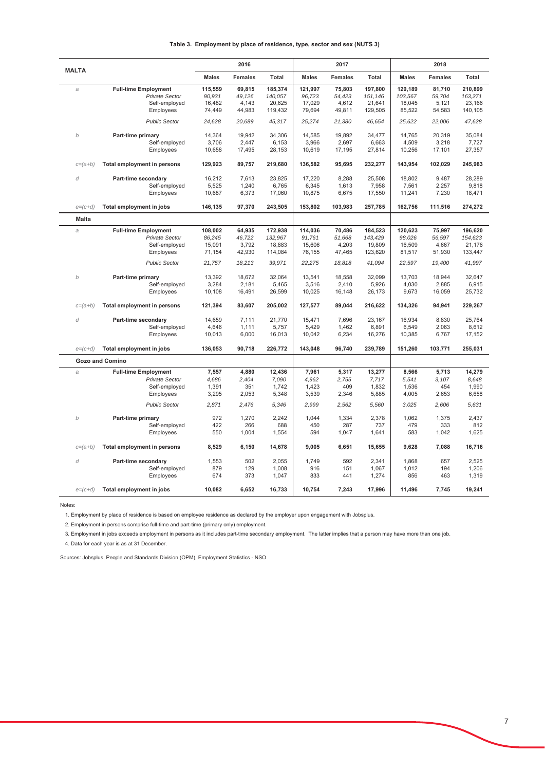|  | Table 3. Employment by place of residence, type, sector and sex (NUTS 3) |  |  |  |  |  |  |  |
|--|--------------------------------------------------------------------------|--|--|--|--|--|--|--|
|--|--------------------------------------------------------------------------|--|--|--|--|--|--|--|

|              |                             |              | 2016           |         |              | 2017           |         |              | 2018           |              |
|--------------|-----------------------------|--------------|----------------|---------|--------------|----------------|---------|--------------|----------------|--------------|
| <b>MALTA</b> |                             | <b>Males</b> | <b>Females</b> | Total   | <b>Males</b> | <b>Females</b> | Total   | <b>Males</b> | <b>Females</b> | <b>Total</b> |
| a            | <b>Full-time Employment</b> | 115,559      | 69,815         | 185,374 | 121,997      | 75,803         | 197,800 | 129,189      | 81,710         | 210,899      |
|              | <b>Private Sector</b>       | 90,931       | 49,126         | 140,057 | 96,723       | 54,423         | 151,146 | 103,567      | 59,704         | 163,271      |
|              | Self-employed               | 16,482       | 4.143          | 20,625  | 17,029       | 4,612          | 21,641  | 18,045       | 5,121          | 23,166       |
|              | Employees                   | 74,449       | 44,983         | 119,432 | 79,694       | 49,811         | 129,505 | 85,522       | 54,583         | 140,105      |
|              | <b>Public Sector</b>        | 24,628       | 20,689         | 45,317  | 25,274       | 21,380         | 46,654  | 25,622       | 22,006         | 47,628       |
| b            | Part-time primary           | 14,364       | 19.942         | 34.306  | 14,585       | 19,892         | 34,477  | 14,765       | 20.319         | 35.084       |
|              | Self-employed               | 3,706        | 2.447          | 6,153   | 3,966        | 2.697          | 6,663   | 4,509        | 3,218          | 7,727        |
|              | Employees                   | 10,658       | 17,495         | 28,153  | 10,619       | 17,195         | 27,814  | 10,256       | 17,101         | 27,357       |
| $c=(a+b)$    | Total employment in persons | 129,923      | 89,757         | 219,680 | 136,582      | 95,695         | 232,277 | 143,954      | 102,029        | 245,983      |
| $\it d$      | Part-time secondary         | 16,212       | 7,613          | 23,825  | 17,220       | 8,288          | 25,508  | 18,802       | 9,487          | 28,289       |
|              | Self-employed               | 5,525        | 1,240          | 6,765   | 6,345        | 1,613          | 7,958   | 7,561        | 2,257          | 9,818        |
|              | Employees                   | 10,687       | 6,373          | 17,060  | 10,875       | 6,675          | 17,550  | 11,241       | 7,230          | 18,471       |
| $e=(c+d)$    | Total employment in jobs    | 146,135      | 97,370         | 243,505 | 153,802      | 103,983        | 257,785 | 162,756      | 111,516        | 274,272      |
| <b>Malta</b> |                             |              |                |         |              |                |         |              |                |              |
| a            | <b>Full-time Employment</b> | 108,002      | 64,935         | 172,938 | 114,036      | 70,486         | 184,523 | 120,623      | 75,997         | 196,620      |
|              | <b>Private Sector</b>       | 86,245       | 46.722         | 132,967 | 91,761       | 51,668         | 143,429 | 98,026       | 56.597         | 154,623      |
|              | Self-employed               | 15,091       | 3,792          | 18,883  | 15,606       | 4,203          | 19,809  | 16,509       | 4,667          | 21,176       |
|              | Employees                   | 71,154       | 42,930         | 114,084 | 76,155       | 47,465         | 123,620 | 81,517       | 51,930         | 133,447      |
|              | <b>Public Sector</b>        | 21,757       | 18,213         | 39,971  | 22,275       | 18,818         | 41,094  | 22,597       | 19,400         | 41,997       |
| b            | Part-time primary           | 13,392       | 18.672         | 32.064  | 13.541       | 18.558         | 32.099  | 13.703       | 18.944         | 32.647       |
|              | Self-employed               | 3,284        | 2,181          | 5,465   | 3,516        | 2,410          | 5,926   | 4,030        | 2,885          | 6,915        |
|              | Employees                   | 10,108       | 16,491         | 26,599  | 10,025       | 16,148         | 26,173  | 9,673        | 16,059         | 25,732       |
| $c=(a+b)$    | Total employment in persons | 121,394      | 83,607         | 205,002 | 127,577      | 89,044         | 216,622 | 134,326      | 94,941         | 229,267      |
| d            | Part-time secondary         | 14,659       | 7,111          | 21,770  | 15,471       | 7,696          | 23,167  | 16,934       | 8,830          | 25,764       |
|              | Self-employed               | 4,646        | 1,111          | 5,757   | 5,429        | 1,462          | 6,891   | 6,549        | 2,063          | 8,612        |
|              | Employees                   | 10,013       | 6,000          | 16,013  | 10,042       | 6,234          | 16,276  | 10,385       | 6,767          | 17,152       |
| $e=(c+d)$    | Total employment in jobs    | 136,053      | 90,718         | 226,772 | 143,048      | 96,740         | 239,789 | 151,260      | 103,771        | 255,031      |
|              | <b>Gozo and Comino</b>      |              |                |         |              |                |         |              |                |              |
| $\partial$   | <b>Full-time Employment</b> | 7,557        | 4,880          | 12,436  | 7,961        | 5,317          | 13,277  | 8,566        | 5,713          | 14,279       |
|              | <b>Private Sector</b>       | 4,686        | 2,404          | 7,090   | 4,962        | 2,755          | 7,717   | 5,541        | 3,107          | 8,648        |
|              | Self-employed               | 1,391        | 351            | 1,742   | 1,423        | 409            | 1,832   | 1,536        | 454            | 1,990        |
|              | Employees                   | 3,295        | 2,053          | 5,348   | 3,539        | 2,346          | 5,885   | 4,005        | 2,653          | 6,658        |
|              | <b>Public Sector</b>        | 2,871        | 2,476          | 5,346   | 2,999        | 2,562          | 5,560   | 3,025        | 2,606          | 5,631        |
| b            | Part-time primary           | 972          | 1,270          | 2,242   | 1,044        | 1,334          | 2,378   | 1,062        | 1,375          | 2,437        |
|              | Self-employed               | 422          | 266            | 688     | 450          | 287            | 737     | 479          | 333            | 812          |
|              | Employees                   | 550          | 1,004          | 1,554   | 594          | 1,047          | 1,641   | 583          | 1,042          | 1,625        |
| $c=(a+b)$    | Total employment in persons | 8,529        | 6,150          | 14,678  | 9,005        | 6,651          | 15,655  | 9,628        | 7,088          | 16,716       |
| d            | Part-time secondary         | 1,553        | 502            | 2,055   | 1,749        | 592            | 2,341   | 1,868        | 657            | 2,525        |
|              | Self-employed               | 879          | 129            | 1,008   | 916          | 151            | 1,067   | 1,012        | 194            | 1,206        |
|              | Employees                   | 674          | 373            | 1,047   | 833          | 441            | 1,274   | 856          | 463            | 1,319        |
| $e=(c+d)$    | Total employment in jobs    | 10.082       | 6.652          | 16.733  | 10,754       | 7,243          | 17,996  | 11.496       | 7.745          | 19,241       |

Notes:

1. Employment by place of residence is based on employee residence as declared by the employer upon engagement with Jobsplus.

2. Employment in persons comprise full-time and part-time (primary only) employment.

3. Employment in jobs exceeds employment in persons as it includes part-time secondary employment. The latter implies that a person may have more than one job.

4. Data for each year is as at 31 December.

Sources: Jobsplus, People and Standards Division (OPM), Employment Statistics - NSO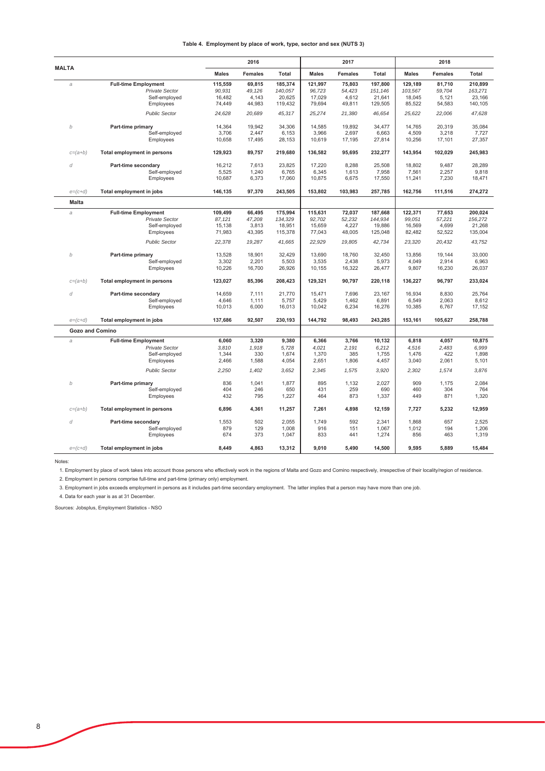|                        |                                        |                  | 2016            |                   |                  | 2017            |                   |                   | 2018            |                   |
|------------------------|----------------------------------------|------------------|-----------------|-------------------|------------------|-----------------|-------------------|-------------------|-----------------|-------------------|
| <b>MALTA</b>           |                                        | <b>Males</b>     | <b>Females</b>  | Total             | <b>Males</b>     | <b>Females</b>  | Total             | <b>Males</b>      | <b>Females</b>  | Total             |
| a                      | <b>Full-time Employment</b>            | 115,559          | 69,815          | 185,374           | 121,997          | 75,803          | 197,800           | 129,189           | 81,710          | 210,899           |
|                        | <b>Private Sector</b><br>Self-employed | 90,931<br>16,482 | 49,126<br>4,143 | 140,057<br>20,625 | 96,723<br>17,029 | 54,423<br>4,612 | 151,146<br>21,641 | 103,567<br>18,045 | 59,704<br>5,121 | 163,271<br>23,166 |
|                        | Employees                              | 74,449           | 44,983          | 119,432           | 79,694           | 49,811          | 129,505           | 85,522            | 54,583          | 140,105           |
|                        | <b>Public Sector</b>                   | 24,628           | 20,689          | 45,317            | 25,274           | 21,380          | 46,654            | 25,622            | 22,006          | 47,628            |
|                        |                                        |                  |                 |                   |                  |                 |                   |                   |                 |                   |
| b                      | Part-time primary                      | 14,364           | 19,942          | 34,306            | 14,585           | 19,892          | 34,477            | 14,765            | 20,319          | 35,084            |
|                        | Self-employed                          | 3,706            | 2,447           | 6,153             | 3,966            | 2,697           | 6,663             | 4,509             | 3,218           | 7,727             |
|                        | Employees                              | 10,658           | 17,495          | 28,153            | 10,619           | 17,195          | 27,814            | 10,256            | 17,101          | 27,357            |
| $c=(a+b)$              | Total employment in persons            | 129,923          | 89,757          | 219,680           | 136,582          | 95,695          | 232,277           | 143,954           | 102,029         | 245,983           |
| d                      | Part-time secondary                    | 16,212           | 7,613           | 23,825            | 17,220           | 8,288           | 25,508            | 18,802            | 9.487           | 28,289            |
|                        | Self-employed                          | 5,525            | 1,240           | 6,765             | 6,345            | 1,613           | 7,958             | 7,561             | 2,257           | 9,818             |
|                        | Employees                              | 10,687           | 6,373           | 17,060            | 10,875           | 6,675           | 17,550            | 11,241            | 7,230           | 18,471            |
| $e=(c+d)$              | Total employment in jobs               | 146,135          | 97,370          | 243,505           | 153,802          | 103,983         | 257,785           | 162,756           | 111,516         | 274,272           |
| <b>Malta</b>           |                                        |                  |                 |                   |                  |                 |                   |                   |                 |                   |
| a                      | <b>Full-time Employment</b>            | 109,499          | 66,495          | 175,994           | 115,631          | 72,037          | 187,668           | 122,371           | 77,653          | 200,024           |
|                        | Private Sector                         | 87,121           | 47,208          | 134,329           | 92,702           | 52,232          | 144,934           | 99,051            | 57,221          | 156,272           |
|                        | Self-employed                          | 15,138           | 3,813           | 18,951            | 15,659           | 4,227           | 19,886            | 16,569            | 4,699           | 21,268            |
|                        | Employees                              | 71,983           | 43,395          | 115,378           | 77,043           | 48,005          | 125,048           | 82,482            | 52,522          | 135,004           |
|                        | <b>Public Sector</b>                   | 22,378           | 19,287          | 41,665            | 22,929           | 19,805          | 42,734            | 23,320            | 20,432          | 43,752            |
| b                      | Part-time primary                      | 13,528           | 18,901          | 32.429            | 13,690           | 18.760          | 32.450            | 13,856            | 19.144          | 33.000            |
|                        | Self-employed                          | 3,302            | 2,201           | 5,503             | 3,535            | 2,438           | 5,973             | 4,049             | 2,914           | 6,963             |
|                        | Employees                              | 10,226           | 16,700          | 26,926            | 10,155           | 16,322          | 26,477            | 9,807             | 16,230          | 26,037            |
| $c=(a+b)$              | Total employment in persons            | 123,027          | 85,396          | 208,423           | 129,321          | 90,797          | 220,118           | 136,227           | 96,797          | 233,024           |
| d                      | Part-time secondary                    | 14,659           | 7,111           | 21,770            | 15,471           | 7,696           | 23,167            | 16,934            | 8,830           | 25,764            |
|                        | Self-employed                          | 4,646            | 1,111           | 5,757             | 5,429            | 1,462           | 6,891             | 6,549             | 2,063           | 8,612             |
|                        | Employees                              | 10,013           | 6,000           | 16,013            | 10,042           | 6,234           | 16,276            | 10,385            | 6,767           | 17,152            |
| $e=(c+d)$              | Total employment in jobs               | 137,686          | 92,507          | 230,193           | 144,792          | 98,493          | 243,285           | 153,161           | 105,627         | 258,788           |
| <b>Gozo and Comino</b> |                                        |                  |                 |                   |                  |                 |                   |                   |                 |                   |
| a                      | <b>Full-time Employment</b>            | 6,060            | 3,320           | 9,380             | 6,366            | 3,766           | 10,132            | 6,818             | 4,057           | 10,875            |
|                        | <b>Private Sector</b>                  | 3,810            | 1,918           | 5,728             | 4,021            | 2,191           | 6,212             | 4,516             | 2,483           | 6,999             |
|                        | Self-employed                          | 1,344            | 330             | 1,674             | 1,370            | 385             | 1,755             | 1,476             | 422             | 1,898             |
|                        | Employees                              | 2,466            | 1,588           | 4,054             | 2,651            | 1,806           | 4,457             | 3,040             | 2,061           | 5,101             |
|                        | <b>Public Sector</b>                   | 2,250            | 1,402           | 3,652             | 2,345            | 1,575           | 3,920             | 2,302             | 1,574           | 3,876             |
| b                      | Part-time primary<br>Self-employed     | 836<br>404       | 1,041<br>246    | 1.877<br>650      | 895<br>431       | 1,132<br>259    | 2.027<br>690      | 909<br>460        | 1,175<br>304    | 2,084<br>764      |
|                        | Employees                              | 432              | 795             | 1,227             | 464              | 873             | 1,337             | 449               | 871             | 1,320             |
| $c=(a+b)$              | Total employment in persons            | 6,896            | 4,361           | 11,257            | 7,261            | 4,898           | 12,159            | 7,727             | 5,232           | 12,959            |
|                        |                                        |                  |                 |                   |                  |                 |                   |                   |                 |                   |
| d                      | Part-time secondary<br>Self-employed   | 1,553<br>879     | 502<br>129      | 2,055<br>1,008    | 1,749<br>916     | 592<br>151      | 2,341<br>1,067    | 1,868<br>1,012    | 657<br>194      | 2,525<br>1,206    |
|                        | Employees                              | 674              | 373             | 1,047             | 833              | 441             | 1,274             | 856               | 463             | 1,319             |
| $e=(c+d)$              | Total employment in jobs               | 8,449            | 4,863           | 13,312            | 9,010            | 5,490           | 14,500            | 9,595             | 5,889           | 15,484            |

Notes:

1. Employment by place of work takes into account those persons who effectively work in the regions of Malta and Gozo and Comino respectively, irrespective of their locality/region of residence.

2. Employment in persons comprise full-time and part-time (primary only) employment.

3. Employment in jobs exceeds employment in persons as it includes part-time secondary employment. The latter implies that a person may have more than one job.

4. Data for each year is as at 31 December.

Sources: Jobsplus, Employment Statistics - NSO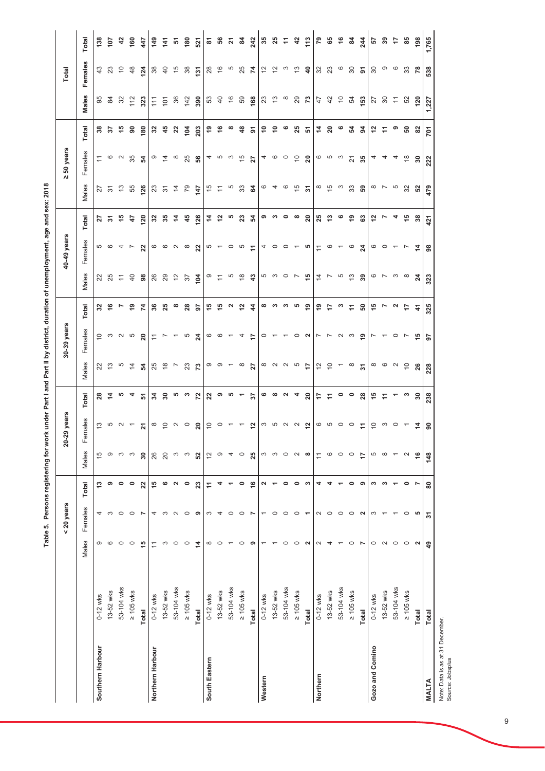|                  |                |                | $<$ 20 years   |               |                          | 20-29 years             |                          |                 | 30-39 years      |               |                                             | 40-49 years                      |                |                | 50 years<br>$\overline{\mathsf{M}}$ |                            |                | Total                       |                         |
|------------------|----------------|----------------|----------------|---------------|--------------------------|-------------------------|--------------------------|-----------------|------------------|---------------|---------------------------------------------|----------------------------------|----------------|----------------|-------------------------------------|----------------------------|----------------|-----------------------------|-------------------------|
|                  |                | Males          | Females        | Total         | Males                    | Females                 | Total                    | Males           | Females          | Total         | Males                                       | Females                          | Total          | Males          | Females                             | Total                      | Males          | Females                     | <b>Total</b>            |
| Southern Harbour | $0 - 12$ wks   | ω              | 4              | مبر<br>ب      | 15                       | 13                      | 28                       | 22              | $\overline{C}$   | 32            |                                             |                                  | 27             |                | ≂                                   | 38                         | 95             | 43                          | 138                     |
|                  | 13-52 wks      | ဖ              | S              | თ             | σ                        | 5                       | $\frac{4}{7}$            | $\frac{3}{2}$   | $\mathfrak{S}$   | $\frac{6}{1}$ | 22<br>25                                    | <u> က</u> ထ                      | స్             | <u>ನಿ ನ</u>    | ဖ                                   | 57                         | 84             | ಔ                           | 107                     |
|                  | 53-104 wks     | $\circ$        | $\circ$        | 0             | S                        | $\sim$                  | 5                        | Ю               | $\sim$           | r             | $\stackrel{\textstyle\sim}{\textstyle\sim}$ |                                  | 45             | $\frac{3}{2}$  | $\sim$                              | 45                         | 32             | $\tilde{0}$                 | $\frac{2}{3}$           |
|                  | $\geq 105$ wks | $\circ$        | $\circ$        | 0             | S                        | $\overline{ }$          | 4                        | $\overline{4}$  | 5                | $\frac{6}{5}$ | $\overline{a}$                              | $\rightarrow$ $\sim$             | 47             | 55             | 35                                  | 8                          | 112            | $\frac{8}{3}$               | 160                     |
|                  | Total          | 15             | Z              | 22            | 30                       | 21                      | 5                        | 54              | ຊ                | $\mathbf{z}$  | 8                                           | 22                               | 120            | <b>126</b>     | 54                                  | 180                        | 323            | 124                         | 447                     |
| Northern Harbour | $0 - 12$ wks   | Ξ              | 4              | 15            | 26                       | $\infty$                | 34                       | 25              | $\tilde{t}$      | 36            | <b>26</b><br>29                             |                                  | ೫              | 23<br>31       | ၜ                                   | 32                         | $\frac{1}{11}$ | $38\,$                      | 149                     |
|                  | 13-52 wks      | S              | က              | ဖ             | 20                       | $\tilde{e}$             | $\boldsymbol{50}$        | $\frac{8}{1}$   | $\overline{ }$   | 25            |                                             |                                  | 35             |                | $\tilde{4}$                         | 45                         | $\overline{5}$ | $\overline{4}$              | 141                     |
|                  | 53-104 wks     | $\circ$        | $\sim$         | 2             | S                        | $N$ $\circ$             | 5                        | $\overline{ }$  | $\overline{ }$   | œ             | $\tilde{c}$                                 | 0 0 N 0                          | 4              | $\overline{4}$ | $\infty$                            | $\boldsymbol{\mathsf{22}}$ | 36             | $\frac{5}{2}$               | 5                       |
|                  | $\geq 105$ wks | $\circ$        | $\circ$        | $\circ$       | S                        |                         | ా                        | 23              | S                | 28            | 57                                          |                                  | $\frac{45}{5}$ | 79             | 25                                  | 104                        | 142            | 38                          | 180                     |
|                  | Total          | $\overline{4}$ | ၈              | 23            | 52                       | $\overline{20}$         | 72                       | 73              | $\boldsymbol{z}$ | 5             | $\overline{a}$                              | 22                               | 126            | 47             | ვ<br>ნ                              | 203                        | 390            | 131                         | 521                     |
| South Eastern    | $0-12$ wks     | ∞              | က              | Ξ             | $\overline{c}$           | $\tilde{c}$             | 22                       |                 | 6                | 49            | $\overline{a}$                              |                                  | 4              | $\frac{5}{2}$  |                                     | ę,                         | 53             | $^{28}$                     | $\overline{\mathbf{6}}$ |
|                  | 13-52 wks      | $\circ$        | 4              |               | σ                        | $\circ$                 | ၜ                        | တ တ             | $\circ$          | 45            |                                             | $\frac{1}{2}$                    | 12             | $\tilde{\tau}$ | 460                                 | 9                          | $\overline{4}$ | $\frac{6}{2}$               | 56                      |
|                  | 53-104 wks     |                | $\circ$        |               | 4                        |                         | s                        | $\overline{ }$  | $\overline{ }$   | N             | Ю                                           | $\circ$                          | ιΩ             | Ю              |                                     | $\infty$                   | $\frac{6}{5}$  | Ю                           | $\overline{z}$          |
|                  | $\geq 105$ wks | $\circ$        | $\circ$        | 0             | $\circ$                  |                         | $\overline{\phantom{0}}$ | $\infty$        | 4                | $\frac{2}{3}$ | $\frac{8}{10}$                              | 5                                | 23             | $33\,$         | $\frac{5}{2}$                       | $\frac{3}{4}$              | 59             | 25                          | $\frac{8}{4}$           |
|                  | Total          | စ              | ŗ              | $\frac{6}{5}$ | 25                       | $\frac{1}{2}$           | $\overline{\mathbf{5}}$  | 27              | ÷                | 4             | $\frac{3}{4}$                               | Ξ                                | 54             | 2              | 27                                  | ৯                          | 168            | 74                          | 242                     |
| Western          | $0 - 12$ wks   |                |                | N             | S                        | S                       | ဖ                        | $\infty$ $\sim$ | $\circ$          | œ             | ဟ က                                         | 4                                | თ              | O              | $4\degree$                          | \$                         | 23             | $\overline{\omega}$         | 35                      |
|                  | 13-52 wks      |                | $\circ$        |               | S                        | ယ                       | $\infty$                 |                 |                  | ო             |                                             | $\circ$                          | ఌ              | 4              |                                     | $\tilde{a}$                | $\frac{3}{2}$  | $\tilde{c}$                 | 25                      |
|                  | 53-104 wks     | $\circ$        | $\circ$        | 0             | $\circ$                  | $\sim$                  | $\sim$                   | $\sim$          |                  | ∾             | $\circ$                                     | $\circ$                          | 0              | ဖ              | $\circ$                             | ဖ                          | $\infty$       | က                           | Ξ                       |
|                  | $\geq 105$ wks | $\circ$        | $\circ$        | 0             | $\sim$                   | $\sim$                  | 4                        | S               | $\circ$          | ယ             | $\overline{ }$                              |                                  | œ              | $\frac{5}{2}$  | $\overline{C}$                      | 25                         | 29             | $\frac{3}{2}$               | 42                      |
|                  | Total          | 2              | ۳              | S             | $\infty$                 | $\overline{\mathbf{r}}$ | 20                       | 17              | N                | စ္            | 45                                          | မာ                               | $\overline{a}$ | ৯              | $\overline{20}$                     | 5                          | 73             | $\ddot{a}$                  | 113                     |
| Northern         | $0-12$ wks     | $\sim$         | 2              |               | $\frac{1}{\sqrt{2}}$     |                         | 47                       | $\frac{1}{2}$   | ∼                | 67            | $\overline{4}$                              | $\stackrel{+}{\scriptstyle\sim}$ | 25             |                |                                     | 4                          | 47             | $\mathcal{S}^{\mathcal{S}}$ | 79                      |
|                  | 13-52 wks      | 4              | $\circ$        |               | $\circ$                  | ဖော                     | Ξ                        | $\overline{C}$  | r                | 17            | $\overline{ }$                              | $\circ$                          | ဗု             | $\frac{5}{2}$  | ဖော                                 | $20\,$                     | 42             | 23                          | 65                      |
|                  | 53-104 wks     |                | $\circ$        |               | $\circ$                  | $\circ$                 | 0                        | $\overline{ }$  | $\sim$           | က             | 5                                           | $\overline{ }$                   | ဖ              | က              | က                                   | ဖ                          | $\overline{C}$ | $\circ$                     | $\frac{6}{5}$           |
|                  | $\geq 105$ wks | $\circ$        | $\circ$        | 0             | $\circ$                  | $\circ$                 | $\circ$                  | $\infty$        | က                | Ξ             | ಼                                           | $\circ$                          | စ္             | 33             | $\overline{2}$                      | 24                         | 54             | $\infty$                    | $\frac{8}{4}$           |
|                  | Total          | Z              | $\sim$         | ၜ             | $\overline{1}$           | Ξ                       | 28                       | $\overline{5}$  | ္                | <b>့</b>      | 39                                          | $\overline{24}$                  | ි              | 59             | 35                                  | 3                          | 153            | ৯                           | 244                     |
| Gozo and Comino  | $0-12$ wks     | $\circ$        | S              | S             | Б                        | $\overline{C}$          | 15                       | $\infty$        | Ľ                | 45            | $\circ$ $\sim$                              | $\circ$ $\circ$                  | 5              | $\infty$       | 4                                   | 12                         | 27<br>30       | 80                          | 57                      |
|                  | 13-52 wks      | $\sim$         |                | S             | $\infty$                 | က                       | F                        | $\circ$         | $\overline{ }$   | r             |                                             |                                  |                | $\overline{ }$ | 4                                   | Ξ                          |                | ၜ                           | $39$                    |
|                  | 53-104 wks     | $\circ$        |                |               | $\overline{\phantom{0}}$ | $\circ$                 | ᡪ                        | $\sim$          | $\circ$          | N             | က                                           | $\overline{ }$                   | 4              | Ю              | 4                                   | თ                          | $\tilde{+}$    | $\circ$                     | 47                      |
|                  | $\geq 105$ wks | $\circ$        | $\circ$        | 0             | $\sim$                   |                         | ∾                        | $\overline{C}$  | $\sim$           | 47            | $\infty$                                    | $\overline{ }$                   | 45             | 32             | $\frac{8}{1}$                       | 50                         | 52             | 33                          | 85                      |
|                  | Total          | $\sim$         | ယ              | Ľ             | $\frac{6}{5}$            | $\dot{z}$               | $\rm ^{30}$              | 26              | 45               | 4             | $\boldsymbol{z}$                            | $\frac{4}{4}$                    | 38             | 52             | 30                                  | 82                         | 120            | $\overline{78}$             | 198                     |
| <b>MALTA</b>     | Total          | ą,             | $\overline{5}$ | 80            | 148                      | န္တ                     | 238                      | 228             | 5                | 325           | 323                                         | $\bf{98}$                        | 421            | 479            | 222                                 | <b>701</b>                 | 227            | 538                         | 1,765                   |

Table 5. Persons registering for work under Part I and Part II by district, duration of unemployment, age and sex: 2018 Table 5. Persons registering for work under Part I and Part II by district, duration of unemployment, age and sex: 2018

Note: Data is as at 31 December

Note: Data is as at 31 December.<br>Source: Jobsplus Source: Jobsplus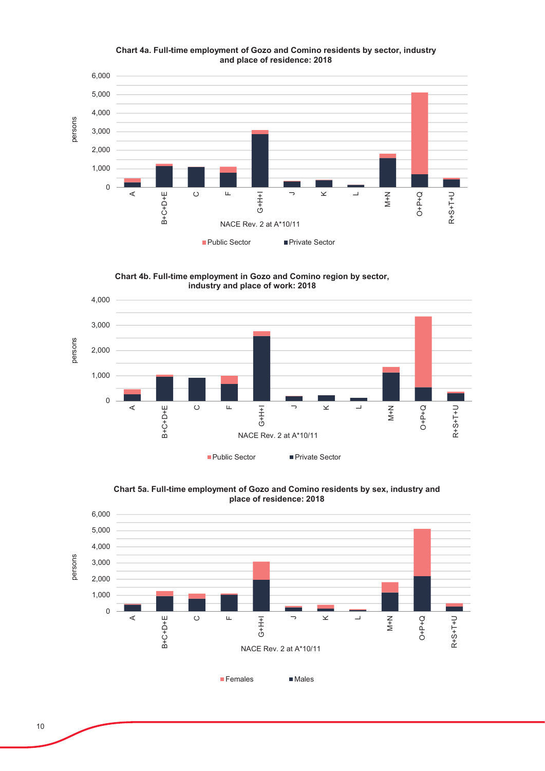

Chart 4a. Full-time employment of Gozo and Comino residents by sector, industry and place of residence: 2018

Chart 4b. Full-time employment in Gozo and Comino region by sector, industry and place of work: 2018



Chart 5a. Full-time employment of Gozo and Comino residents by sex, industry and place of residence: 2018

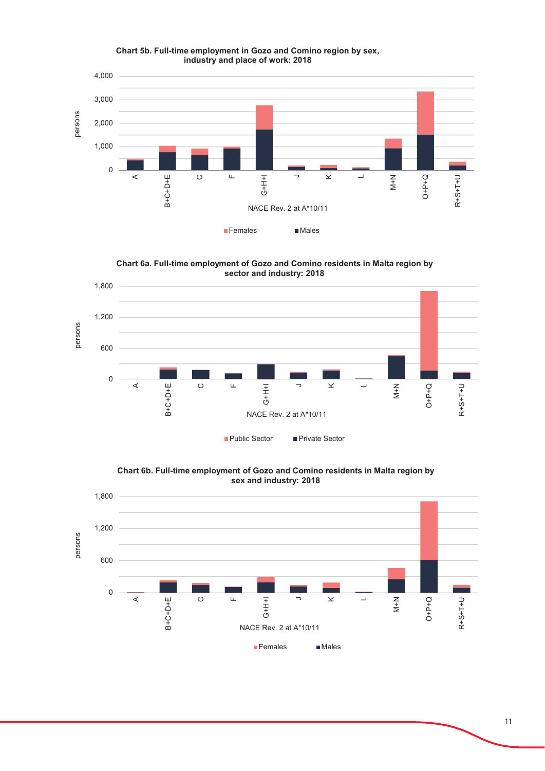

Chart 5b. Full-time employment in Gozo and Comino region by sex, industry and place of work: 2018

Chart 6a. Full-time employment of Gozo and Comino residents in Malta region by sector and industry: 2018



Chart 6b. Full-time employment of Gozo and Comino residents in Malta region by sex and industry: 2018

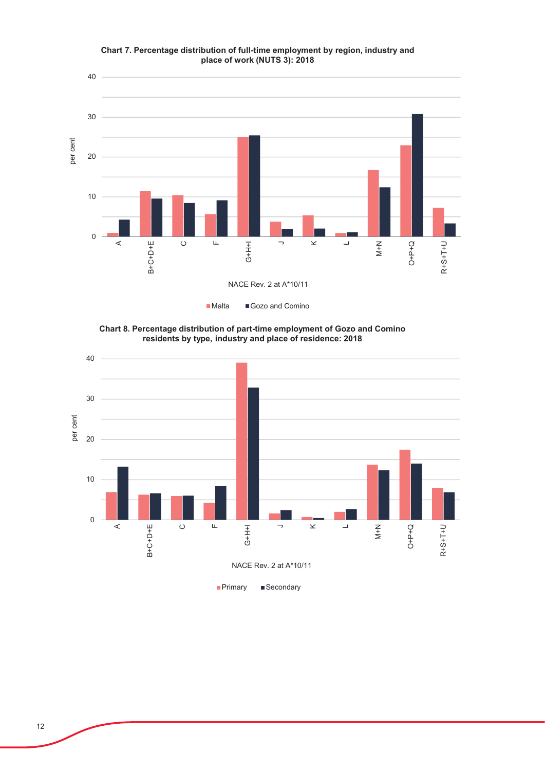

Chart 7. Percentage distribution of full-time employment by region, industry and place of work (NUTS 3): 2018

**Chart 8. Percentage distribution of part-time employment of Gozo and Comino** residents by type, industry and place of residence: 2018

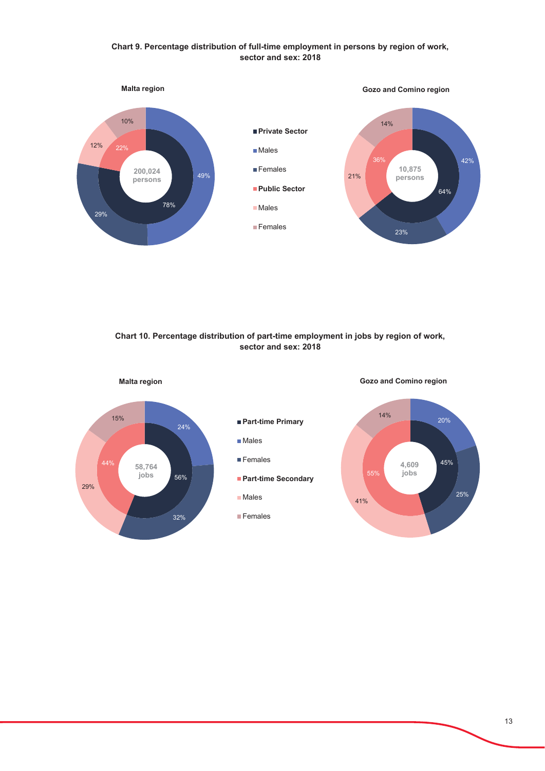# Chart 9. Percentage distribution of full-time employment in persons by region of work, sector and sex: 2018



Chart 10. Percentage distribution of part-time employment in jobs by region of work, sector and sex: 2018

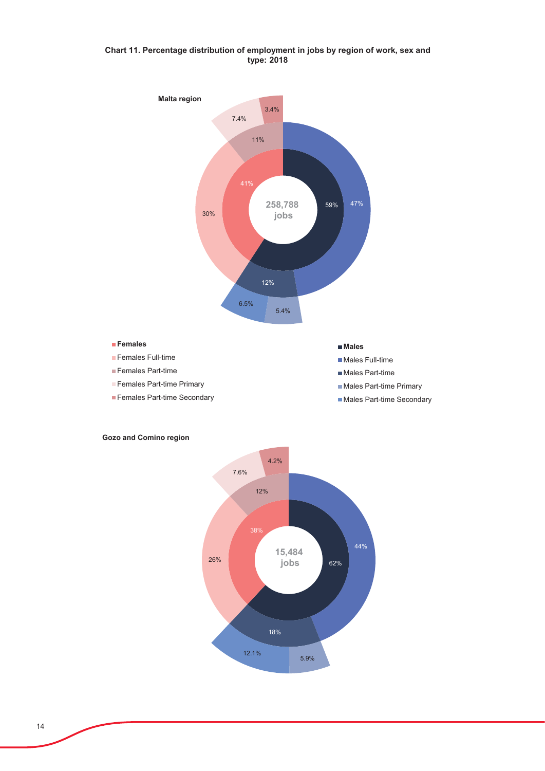# Chart 11. Percentage distribution of employment in jobs by region of work, sex and type: 2018



#### **I**Females

**F**emales Full-time

- **Females Part-time**
- Females Part-time Primary
- Females Part-time Secondary

**D**Males

Males Full-time

- Males Part-time
- Males Part-time Primary
- Males Part-time Secondary

# **Gozo and Comino region**

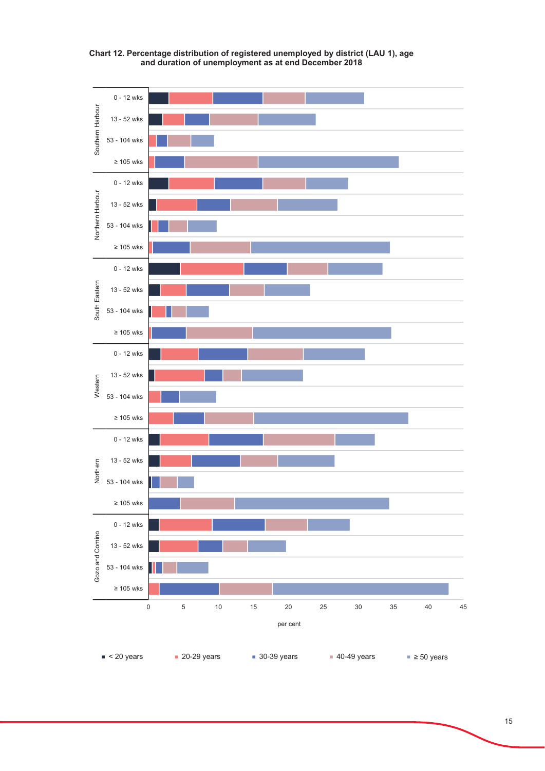

Chart 12. Percentage distribution of registered unemployed by district (LAU 1), age and duration of unemployment as at end December 2018